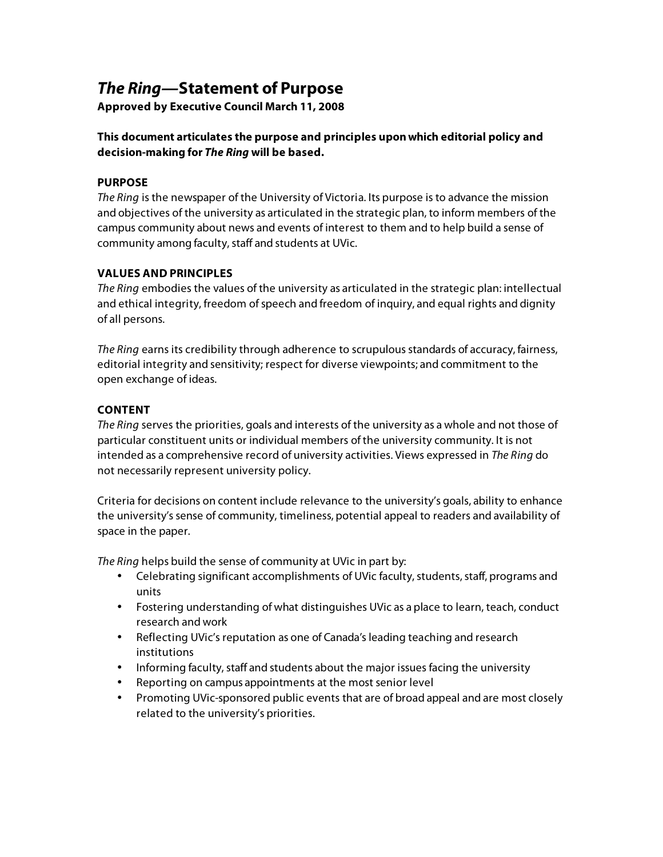# **The Ring—Statement of Purpose**

**Approved by Executive Council March 11, 2008** 

## **This document articulates the purpose and principles upon which editorial policy and decision-making for The Ring will be based.**

### **PURPOSE**

The Ring is the newspaper of the University of Victoria. Its purpose is to advance the mission and objectives of the university as articulated in the strategic plan, to inform members of the campus community about news and events of interest to them and to help build a sense of community among faculty, staff and students at UVic.

### **VALUES AND PRINCIPLES**

The Ring embodies the values of the university as articulated in the strategic plan: intellectual and ethical integrity, freedom of speech and freedom of inquiry, and equal rights and dignity of all persons.

The Ring earns its credibility through adherence to scrupulous standards of accuracy, fairness, editorial integrity and sensitivity; respect for diverse viewpoints; and commitment to the open exchange of ideas.

### **CONTENT**

The Ring serves the priorities, goals and interests of the university as a whole and not those of particular constituent units or individual members of the university community. It is not intended as a comprehensive record of university activities. Views expressed in The Ring do not necessarily represent university policy.

Criteria for decisions on content include relevance to the university's goals, ability to enhance the university's sense of community, timeliness, potential appeal to readers and availability of space in the paper.

The Ring helps build the sense of community at UVic in part by:

- Celebrating significant accomplishments of UVic faculty, students, staff, programs and units
- Fostering understanding of what distinguishes UVic as a place to learn, teach, conduct research and work
- Reflecting UVic's reputation as one of Canada's leading teaching and research institutions
- Informing faculty, staff and students about the major issues facing the university
- Reporting on campus appointments at the most senior level
- Promoting UVic-sponsored public events that are of broad appeal and are most closely related to the university's priorities.